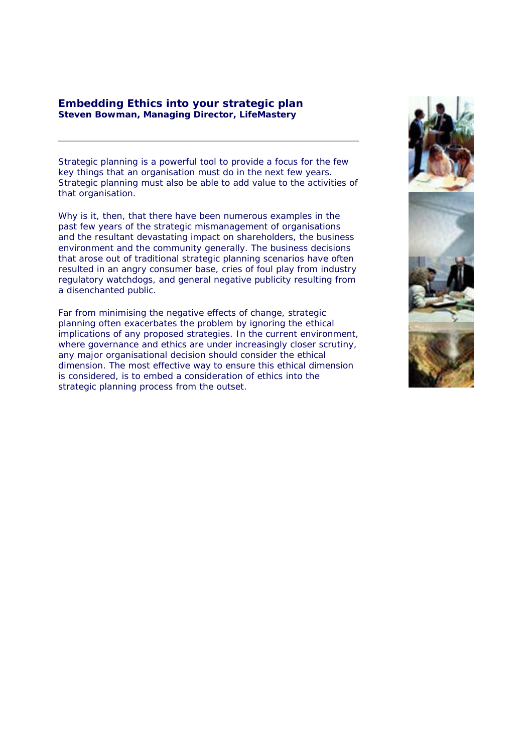## **Embedding Ethics into your strategic plan Steven Bowman, Managing Director, LifeMastery**

Strategic planning is a powerful tool to provide a focus for the few key things that an organisation must do in the next few years. Strategic planning must also be able to add value to the activities of that organisation.

Why is it, then, that there have been numerous examples in the past few years of the strategic mismanagement of organisations and the resultant devastating impact on shareholders, the business environment and the community generally. The business decisions that arose out of traditional strategic planning scenarios have often resulted in an angry consumer base, cries of foul play from industry regulatory watchdogs, and general negative publicity resulting from a disenchanted public.

Far from minimising the negative effects of change, strategic planning often exacerbates the problem by ignoring the ethical implications of any proposed strategies. In the current environment, where governance and ethics are under increasingly closer scrutiny, any major organisational decision should consider the ethical dimension. The most effective way to ensure this ethical dimension is considered, is to embed a consideration of ethics into the strategic planning process from the outset.